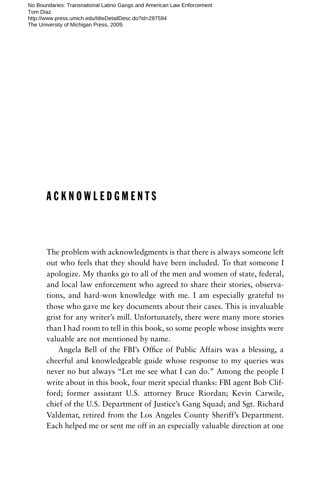No Boundaries: Transnational Latino Gangs and American Law Enforcement Tom Diaz http://www.press.umich.edu/titleDetailDesc.do?id=287594 The University of Michigan Press, 2009.

## ACKNOWLEDGMENTS

The problem with acknowledgments is that there is always someone left out who feels that they should have been included. To that someone I apologize. My thanks go to all of the men and women of state, federal, and local law enforcement who agreed to share their stories, observations, and hard-won knowledge with me. I am especially grateful to those who gave me key documents about their cases. This is invaluable grist for any writer's mill. Unfortunately, there were many more stories than I had room to tell in this book, so some people whose insights were valuable are not mentioned by name.

Angela Bell of the FBI's Office of Public Affairs was a blessing, a cheerful and knowledgeable guide whose response to my queries was never no but always "Let me see what I can do." Among the people I write about in this book, four merit special thanks: FBI agent Bob Clifford; former assistant U.S. attorney Bruce Riordan; Kevin Carwile, chief of the U.S. Department of Justice's Gang Squad; and Sgt. Richard Valdemar, retired from the Los Angeles County Sheriff's Department. Each helped me or sent me off in an especially valuable direction at one